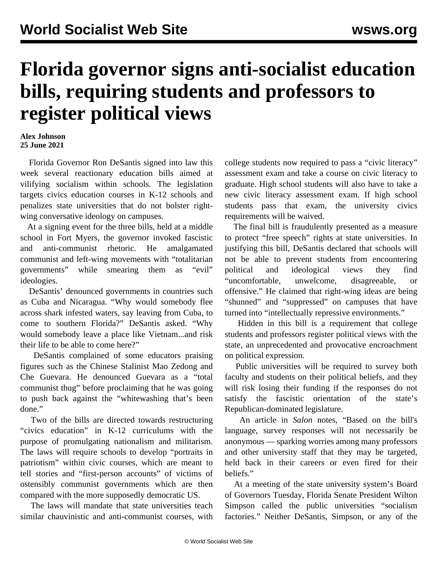## **Florida governor signs anti-socialist education bills, requiring students and professors to register political views**

## **Alex Johnson 25 June 2021**

 Florida Governor Ron DeSantis signed into law this week several reactionary education bills aimed at vilifying socialism within schools. The legislation targets civics education courses in K-12 schools and penalizes state universities that do not bolster rightwing conversative ideology on campuses.

 At a signing event for the three bills, held at a middle school in Fort Myers, the governor invoked fascistic and anti-communist rhetoric. He amalgamated communist and left-wing movements with "totalitarian governments" while smearing them as "evil" ideologies.

 DeSantis' denounced governments in countries such as Cuba and Nicaragua. "Why would somebody flee across shark infested waters, say leaving from Cuba, to come to southern Florida?" DeSantis asked. "Why would somebody leave a place like Vietnam...and risk their life to be able to come here?"

 DeSantis complained of some educators praising figures such as the Chinese Stalinist Mao Zedong and Che Guevara. He denounced Guevara as a "total communist thug" before proclaiming that he was going to push back against the "whitewashing that's been done."

 Two of the bills are directed towards restructuring "civics education" in K-12 curriculums with the purpose of promulgating nationalism and militarism. The laws will require schools to develop "portraits in patriotism" within civic courses, which are meant to tell stories and "first-person accounts" of victims of ostensibly communist governments which are then compared with the more supposedly democratic US.

 The laws will mandate that state universities teach similar chauvinistic and anti-communist courses, with college students now required to pass a "civic literacy" assessment exam and take a course on civic literacy to graduate. High school students will also have to take a new civic literacy assessment exam. If high school students pass that exam, the university civics requirements will be waived.

 The final bill is fraudulently presented as a measure to protect "free speech" rights at state universities. In justifying this bill, DeSantis declared that schools will not be able to prevent students from encountering political and ideological views they find "uncomfortable, unwelcome, disagreeable, or offensive." He claimed that right-wing ideas are being "shunned" and "suppressed" on campuses that have turned into "intellectually repressive environments."

 Hidden in this bill is a requirement that college students and professors register political views with the state, an unprecedented and provocative encroachment on political expression.

 Public universities will be required to survey both faculty and students on their political beliefs, and they will risk losing their funding if the responses do not satisfy the fascistic orientation of the state's Republican-dominated legislature.

 An article in *Salon* notes, "Based on the bill's language, survey responses will not necessarily be anonymous — sparking worries among many professors and other university staff that they may be targeted, held back in their careers or even fired for their beliefs."

 At a meeting of the state university system's Board of Governors Tuesday, Florida Senate President Wilton Simpson called the public universities "socialism factories." Neither DeSantis, Simpson, or any of the